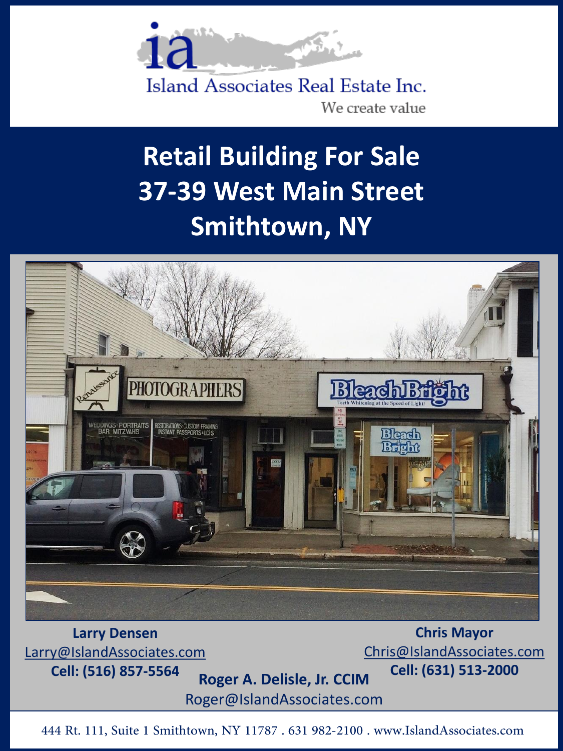

Island Associates Real Estate Inc. We create value

## **Retail Building For Sale 37-39 West Main Street Smithtown, NY**



**Larry Densen** [Larry@IslandAssociates.com](mailto:Roger@islandassociates.com)

**Cell: (516) 857-5564 Roger A. Delisle, Jr. CCIM**

Roger@IslandAssociates.com

**Chris Mayor** [Chris@IslandAssociates.com](mailto:Chris@IslandAssociates.com) **Cell: (631) 513-2000**

444 Rt. 111, Suite 1 Smithtown, NY 11787 . 631 982-2100 . www.IslandAssociates.com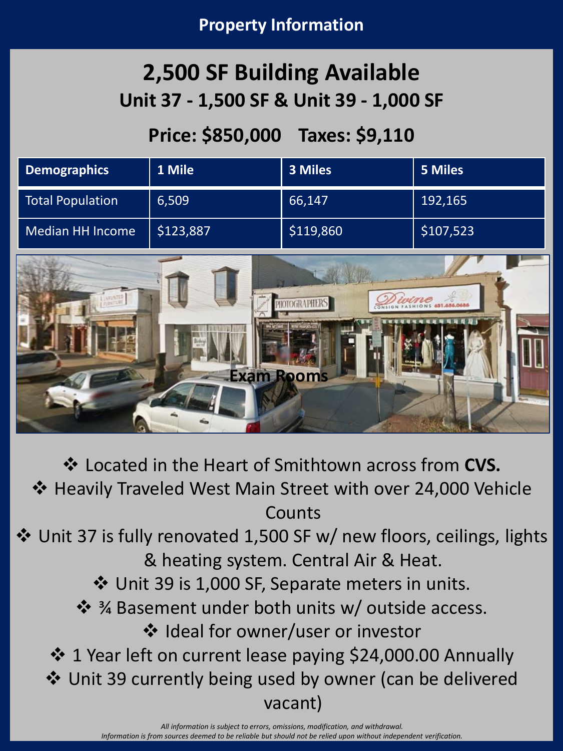## **2,500 SF Building Available Unit 37 - 1,500 SF & Unit 39 - 1,000 SF**

## **Price: \$850,000 Taxes: \$9,110**

| Demographics     | 1 Mile    | 3 Miles   | 5 Miles   |
|------------------|-----------|-----------|-----------|
| Total Population | 6,509     | 66,147    | 192,165   |
| Median HH Income | \$123,887 | \$119,860 | \$107,523 |



❖ Located in the Heart of Smithtown across from **CVS.** ❖ Heavily Traveled West Main Street with over 24,000 Vehicle Counts

❖ Unit 37 is fully renovated 1,500 SF w/ new floors, ceilings, lights & heating system. Central Air & Heat.

❖ Unit 39 is 1,000 SF, Separate meters in units.

❖ ¾ Basement under both units w/ outside access. ❖ Ideal for owner/user or investor

❖ 1 Year left on current lease paying \$24,000.00 Annually

❖ Unit 39 currently being used by owner (can be delivered

vacant)